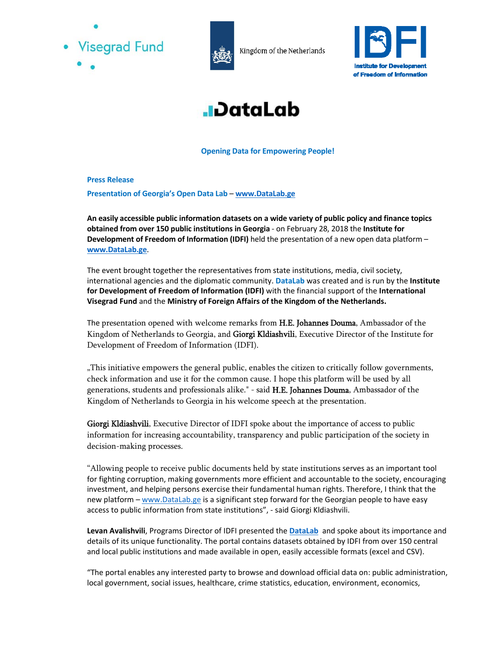



Kingdom of the Netherlands





**Opening Data for Empowering People!** 

**Press Release** 

**Presentation of Georgia's Open Data Lab** – **www.DataLab.ge** 

**An easily accessible public information datasets on a wide variety of public policy and finance topics obtained from over 150 public institutions in Georgia** - on February 28, 2018 the **Institute for Development of Freedom of Information (IDFI)** held the presentation of a new open data platform – **www.DataLab.ge**.

The event brought together the representatives from state institutions, media, civil society, international agencies and the diplomatic community. **DataLab** was created and is run by the **Institute for Development of Freedom of Information (IDFI)** with the financial support of the **International Visegrad Fund** and the **Ministry of Foreign Affairs of the Kingdom of the Netherlands.**

The presentation opened with welcome remarks from H.E. Johannes Douma, Ambassador of the Kingdom of Netherlands to Georgia, and Giorgi Kldiashvili, Executive Director of the Institute for Development of Freedom of Information (IDFI).

"This initiative empowers the general public, enables the citizen to critically follow governments, check information and use it for the common cause. I hope this platform will be used by all generations, students and professionals alike." - said H.E. Johannes Douma, Ambassador of the Kingdom of Netherlands to Georgia in his welcome speech at the presentation.

Giorgi Kldiashvili, Executive Director of IDFI spoke about the importance of access to public information for increasing accountability, transparency and public participation of the society in decision-making processes.

"Allowing people to receive public documents held by state institutions serves as an important tool for fighting corruption, making governments more efficient and accountable to the society, encouraging investment, and helping persons exercise their fundamental human rights. Therefore, I think that the new platform – www.DataLab.ge is a significant step forward for the Georgian people to have easy access to public information from state institutions", - said Giorgi Kldiashvili.

**Levan Avalishvili**, Programs Director of IDFI presented the **DataLab** and spoke about its importance and details of its unique functionality. The portal contains datasets obtained by IDFI from over 150 central and local public institutions and made available in open, easily accessible formats (excel and CSV).

"The portal enables any interested party to browse and download official data on: public administration, local government, social issues, healthcare, crime statistics, education, environment, economics,